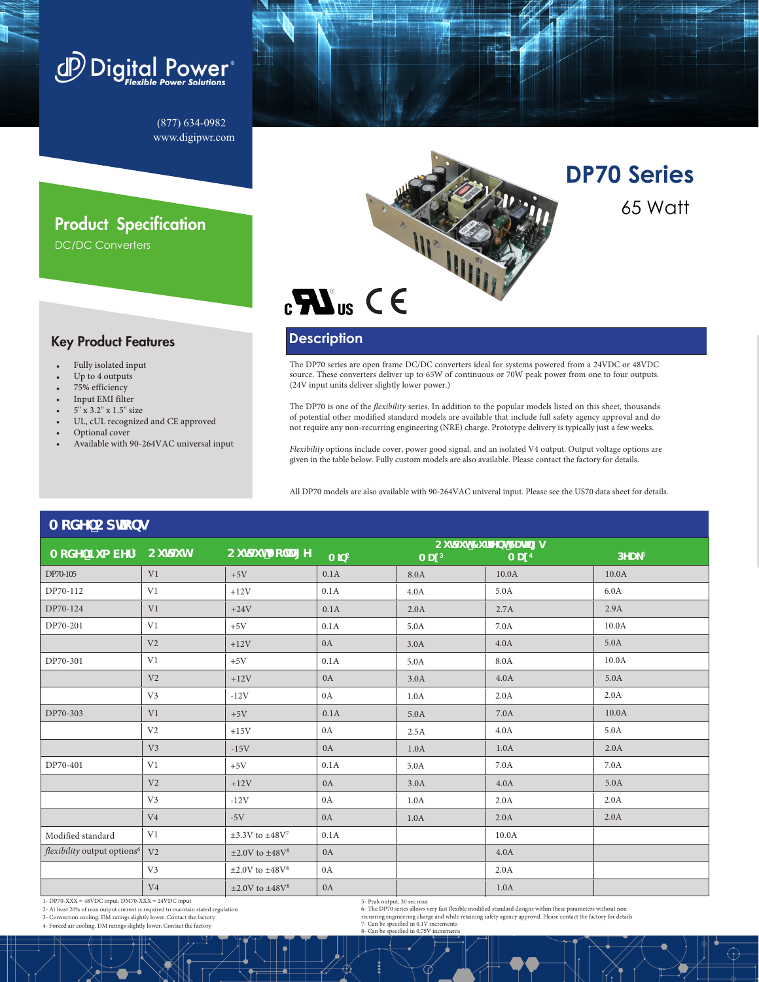

(877) 634-0982 www.digipwr.com

## Product Specification

DC/DC Converters

### Key Product Features

- Fully isolated input
- Up to 4 outputs
- 75% efficiency
- Input EMI filter
- $5''$  x 3.2" x 1.5" size
- UL, cUL recognized and CE approved
- Optional cover
- Available with 90-264VAC universal input



**DP70 Series** 65 Watt

# **Description**

(24V input units deliver slightly lower power.)

#### The DP70 series are open frame DC/DC converters ideal for systems powered from a 24VDC or 48VDC source. These converters deliver up to 65W of continuous or 70W peak power from one to four outputs.

The DP70 is one of the *flexibility* series. In addition to the popular models listed on this sheet, thousands of potential other modified standard models are available that include full safety agency approval and do not require any non-recurring engineering (NRE) charge. Prototype delivery is typically just a few weeks.

*Flexibility* options include cover, power good signal, and an isolated V4 output. Output voltage options are given in the table below. Fully custom models are also available. Please contact the factory for details.

All DP70 models are also available with 90-264VAC univeral input. Please see the US70 data sheet for details.

| <b>ACAL Culpby</b>                                |                          |                                        |                               |                   |                   |         |
|---------------------------------------------------|--------------------------|----------------------------------------|-------------------------------|-------------------|-------------------|---------|
|                                                   | Ci hdi h7 i ffYbhFUh]b[g |                                        |                               |                   |                   |         |
| A cXY`Bi a VYf <sup>1</sup>                       | Cildih                   | CildihJc`hU[Y                          | A <sup>3</sup> b <sup>2</sup> | A UI <sup>3</sup> | A UI <sup>4</sup> | $DYU_5$ |
| DP70-105                                          | V <sub>1</sub>           | $+5V$                                  | 0.1A                          | 8.0A              | 10.0A             | 10.0A   |
| DP70-112                                          | V1                       | $+12V$                                 | 0.1A                          | 4.0A              | 5.0A              | 6.0A    |
| DP70-124                                          | V <sub>1</sub>           | $+24V$                                 | 0.1A                          | 2.0A              | 2.7A              | 2.9A    |
| DP70-201                                          | V1                       | $+5V$                                  | 0.1A                          | 5.0A              | 7.0A              | 10.0A   |
|                                                   | V <sub>2</sub>           | $+12V$                                 | 0A                            | 3.0A              | 4.0A              | 5.0A    |
| DP70-301                                          | V1                       | $+5V$                                  | 0.1A                          | 5.0A              | 8.0A              | 10.0A   |
|                                                   | V <sub>2</sub>           | $+12V$                                 | 0A                            | 3.0A              | 4.0A              | 5.0A    |
|                                                   | V <sub>3</sub>           | $-12V$                                 | 0A                            | 1.0A              | 2.0A              | 2.0A    |
| DP70-303                                          | V1                       | $+5V$                                  | 0.1A                          | 5.0A              | 7.0A              | 10.0A   |
|                                                   | V <sub>2</sub>           | $+15V$                                 | 0A                            | 2.5A              | 4.0A              | 5.0A    |
|                                                   | V <sub>3</sub>           | $-15V$                                 | 0A                            | 1.0A              | 1.0A              | 2.0A    |
| DP70-401                                          | V1                       | $+5V$                                  | 0.1A                          | 5.0A              | 7.0A              | 7.0A    |
|                                                   | V <sub>2</sub>           | $+12V$                                 | 0A                            | 3.0A              | 4.0A              | 5.0A    |
|                                                   | V <sub>3</sub>           | $-12V$                                 | 0A                            | 1.0A              | 2.0A              | 2.0A    |
|                                                   | V <sub>4</sub>           | $-5V$                                  | 0A                            | 1.0A              | 2.0A              | 2.0A    |
| Modified standard                                 | V1                       | $\pm 3.3V$ to $\pm 48V^7$              | 0.1A                          |                   | 10.0A             |         |
| flexibility output options <sup>6</sup>           | V <sub>2</sub>           | $\pm 2.0$ V to $\pm 48$ V <sup>8</sup> | 0A                            |                   | 4.0A              |         |
|                                                   | V <sub>3</sub>           | $\pm 2.0$ V to $\pm 48$ V <sup>8</sup> | 0A                            |                   | 2.0A              |         |
|                                                   | V <sub>4</sub>           | $\pm 2.0$ V to $\pm 48$ V <sup>8</sup> | 0A                            |                   | 1.0A              |         |
| 1- DP70-XXX = 48VDC input. DM70-XXX = 24VDC input |                          |                                        | 5. Peak output 30 sec max     |                   |                   |         |

**0RGHO2SWLRQV**

2- At least 20% of max output current is required to maintain stated regulation

3- Convection cooling. DM ratings slightly lower. Contact the factory

4- Forced air cooling. DM ratings slightly lower. Contact the factory

5- Peak output, 30 sec max<br>6- The DP70 series allows very fast flexible modified standard designs within these parameters without non-<br>recurring engineering charge and while retaining safety agency approval. Please contact

8- Can be specified in 0.75V increments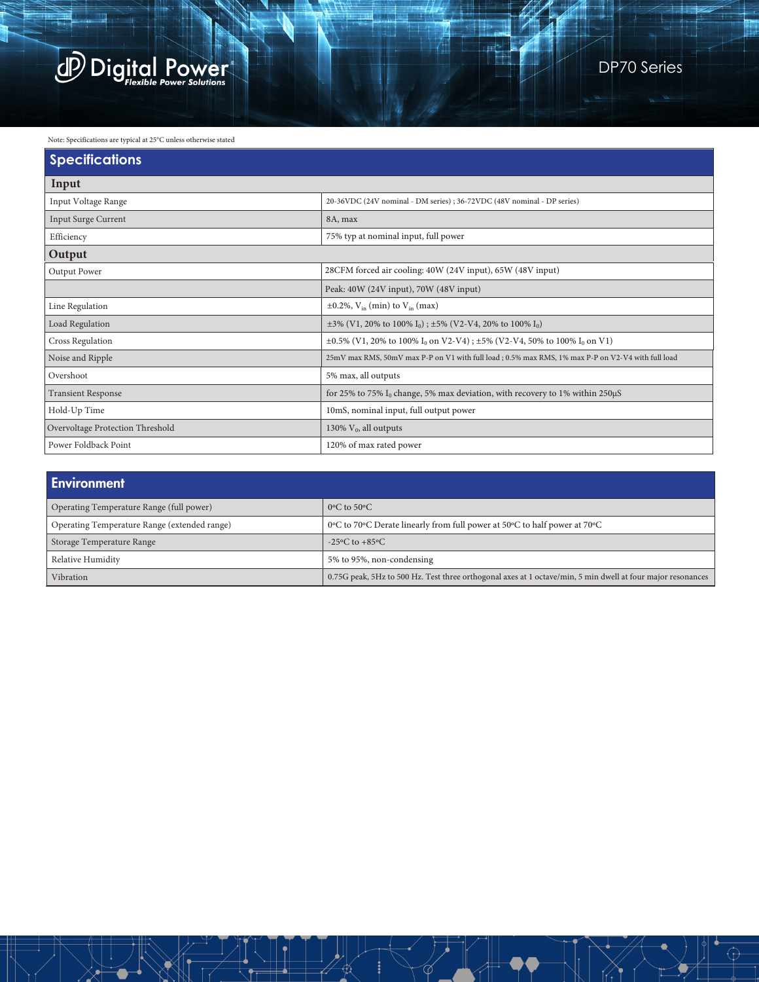

#### Note: Specifications are typical at 25°C unless otherwise stated

| <b>Specifications</b>            |                                                                                                            |  |  |  |  |
|----------------------------------|------------------------------------------------------------------------------------------------------------|--|--|--|--|
| Input                            |                                                                                                            |  |  |  |  |
| Input Voltage Range              | 20-36VDC (24V nominal - DM series); 36-72VDC (48V nominal - DP series)                                     |  |  |  |  |
| <b>Input Surge Current</b>       | 8A, max                                                                                                    |  |  |  |  |
| Efficiency                       | 75% typ at nominal input, full power                                                                       |  |  |  |  |
| Output                           |                                                                                                            |  |  |  |  |
| Output Power                     | 28CFM forced air cooling: 40W (24V input), 65W (48V input)                                                 |  |  |  |  |
|                                  | Peak: 40W (24V input), 70W (48V input)                                                                     |  |  |  |  |
| Line Regulation                  | $\pm 0.2\%$ , V <sub>in</sub> (min) to V <sub>in</sub> (max)                                               |  |  |  |  |
| Load Regulation                  | $\pm 3\%$ (V1, 20% to 100% I <sub>0</sub> ); $\pm 5\%$ (V2-V4, 20% to 100% I <sub>0</sub> )                |  |  |  |  |
| Cross Regulation                 | $\pm 0.5\%$ (V1, 20% to 100% I <sub>0</sub> on V2-V4); $\pm 5\%$ (V2-V4, 50% to 100% I <sub>0</sub> on V1) |  |  |  |  |
| Noise and Ripple                 | 25mV max RMS, 50mV max P-P on V1 with full load; 0.5% max RMS, 1% max P-P on V2-V4 with full load          |  |  |  |  |
| Overshoot                        | 5% max, all outputs                                                                                        |  |  |  |  |
| <b>Transient Response</b>        | for 25% to 75% $I_0$ change, 5% max deviation, with recovery to 1% within 250 $\mu$ S                      |  |  |  |  |
| Hold-Up Time                     | 10mS, nominal input, full output power                                                                     |  |  |  |  |
| Overvoltage Protection Threshold | 130% $V_0$ , all outputs                                                                                   |  |  |  |  |
| Power Foldback Point             | 120% of max rated power                                                                                    |  |  |  |  |

| <b>Environment</b>                           |                                                                                                             |  |  |  |  |  |
|----------------------------------------------|-------------------------------------------------------------------------------------------------------------|--|--|--|--|--|
| Operating Temperature Range (full power)     | $0^{\circ}$ C to 50 $^{\circ}$ C                                                                            |  |  |  |  |  |
| Operating Temperature Range (extended range) | 0°C to 70°C Derate linearly from full power at 50°C to half power at 70°C                                   |  |  |  |  |  |
| Storage Temperature Range                    | -25 $\rm{^{\circ}C}$ to +85 $\rm{^{\circ}C}$                                                                |  |  |  |  |  |
| Relative Humidity                            | 5% to 95%, non-condensing                                                                                   |  |  |  |  |  |
| Vibration                                    | 0.75G peak, 5Hz to 500 Hz. Test three orthogonal axes at 1 octave/min, 5 min dwell at four major resonances |  |  |  |  |  |